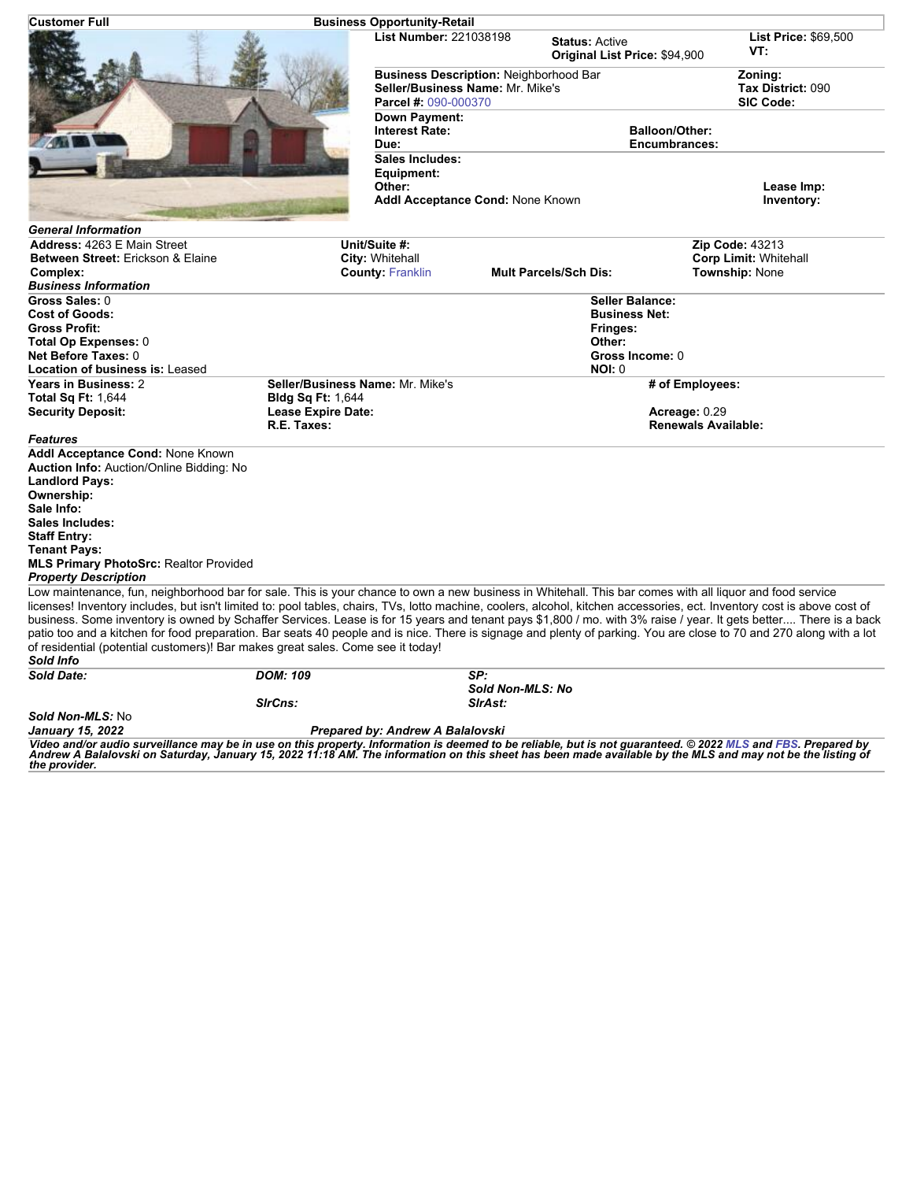| <b>Customer Full</b>                                                                                                                                                                                                                                                                                                                 | <b>Business Opportunity-Retail</b> |                                               |                                                        |                                    |
|--------------------------------------------------------------------------------------------------------------------------------------------------------------------------------------------------------------------------------------------------------------------------------------------------------------------------------------|------------------------------------|-----------------------------------------------|--------------------------------------------------------|------------------------------------|
|                                                                                                                                                                                                                                                                                                                                      | <b>List Number: 221038198</b>      |                                               | <b>Status: Active</b><br>Original List Price: \$94,900 | <b>List Price: \$69,500</b><br>VT: |
|                                                                                                                                                                                                                                                                                                                                      |                                    | <b>Business Description: Neighborhood Bar</b> |                                                        | Zoning:                            |
|                                                                                                                                                                                                                                                                                                                                      |                                    | Seller/Business Name: Mr. Mike's              |                                                        | Tax District: 090                  |
|                                                                                                                                                                                                                                                                                                                                      | Parcel #: 090-000370               |                                               |                                                        | SIC Code:                          |
|                                                                                                                                                                                                                                                                                                                                      | <b>Down Payment:</b>               |                                               |                                                        |                                    |
|                                                                                                                                                                                                                                                                                                                                      | <b>Interest Rate:</b>              |                                               | <b>Balloon/Other:</b>                                  |                                    |
|                                                                                                                                                                                                                                                                                                                                      | Due:                               | <b>Encumbrances:</b>                          |                                                        |                                    |
|                                                                                                                                                                                                                                                                                                                                      | Sales Includes:                    |                                               |                                                        |                                    |
|                                                                                                                                                                                                                                                                                                                                      | Equipment:                         |                                               |                                                        |                                    |
|                                                                                                                                                                                                                                                                                                                                      | Other:                             | Addl Acceptance Cond: None Known              |                                                        | Lease Imp:<br>Inventory:           |
| <b>General Information</b>                                                                                                                                                                                                                                                                                                           |                                    |                                               |                                                        |                                    |
| Address: 4263 E Main Street                                                                                                                                                                                                                                                                                                          | Unit/Suite #:                      |                                               |                                                        | Zip Code: 43213                    |
| Between Street: Erickson & Elaine                                                                                                                                                                                                                                                                                                    | City: Whitehall                    |                                               |                                                        | <b>Corp Limit: Whitehall</b>       |
| Complex:                                                                                                                                                                                                                                                                                                                             | <b>County: Franklin</b>            |                                               | <b>Mult Parcels/Sch Dis:</b>                           | <b>Township: None</b>              |
| <b>Business Information</b>                                                                                                                                                                                                                                                                                                          |                                    |                                               |                                                        |                                    |
| Gross Sales: 0                                                                                                                                                                                                                                                                                                                       |                                    |                                               | <b>Seller Balance:</b>                                 |                                    |
| <b>Cost of Goods:</b><br><b>Gross Profit:</b>                                                                                                                                                                                                                                                                                        |                                    |                                               | <b>Business Net:</b>                                   |                                    |
| Total Op Expenses: 0                                                                                                                                                                                                                                                                                                                 |                                    |                                               | Fringes:<br>Other:                                     |                                    |
| Net Before Taxes: 0                                                                                                                                                                                                                                                                                                                  |                                    |                                               | Gross Income: 0                                        |                                    |
| <b>Location of business is: Leased</b>                                                                                                                                                                                                                                                                                               |                                    |                                               | <b>NOI: 0</b>                                          |                                    |
| Years in Business: 2                                                                                                                                                                                                                                                                                                                 | Seller/Business Name: Mr. Mike's   |                                               |                                                        | # of Employees:                    |
| <b>Total Sq Ft: 1,644</b>                                                                                                                                                                                                                                                                                                            | <b>Bldg Sq Ft: 1,644</b>           |                                               |                                                        |                                    |
| <b>Security Deposit:</b>                                                                                                                                                                                                                                                                                                             | <b>Lease Expire Date:</b>          |                                               |                                                        | Acreage: 0.29                      |
|                                                                                                                                                                                                                                                                                                                                      | R.E. Taxes:                        |                                               |                                                        | <b>Renewals Available:</b>         |
| <b>Features</b>                                                                                                                                                                                                                                                                                                                      |                                    |                                               |                                                        |                                    |
| Addl Acceptance Cond: None Known                                                                                                                                                                                                                                                                                                     |                                    |                                               |                                                        |                                    |
| <b>Auction Info: Auction/Online Bidding: No</b>                                                                                                                                                                                                                                                                                      |                                    |                                               |                                                        |                                    |
| <b>Landlord Pays:</b>                                                                                                                                                                                                                                                                                                                |                                    |                                               |                                                        |                                    |
| Ownership:                                                                                                                                                                                                                                                                                                                           |                                    |                                               |                                                        |                                    |
| Sale Info:                                                                                                                                                                                                                                                                                                                           |                                    |                                               |                                                        |                                    |
| Sales Includes:                                                                                                                                                                                                                                                                                                                      |                                    |                                               |                                                        |                                    |
| <b>Staff Entry:</b>                                                                                                                                                                                                                                                                                                                  |                                    |                                               |                                                        |                                    |
| <b>Tenant Pays:</b>                                                                                                                                                                                                                                                                                                                  |                                    |                                               |                                                        |                                    |
| <b>MLS Primary PhotoSrc: Realtor Provided</b>                                                                                                                                                                                                                                                                                        |                                    |                                               |                                                        |                                    |
| <b>Property Description</b>                                                                                                                                                                                                                                                                                                          |                                    |                                               |                                                        |                                    |
| Low maintenance, fun, neighborhood bar for sale. This is your chance to own a new business in Whitehall. This bar comes with all liquor and food service<br>licenses! Inventory includes, but isn't limited to: pool tables, chairs, TVs, lotto machine, coolers, alcohol, kitchen accessories, ect. Inventory cost is above cost of |                                    |                                               |                                                        |                                    |
| business. Some inventory is owned by Schaffer Services. Lease is for 15 years and tenant pays \$1,800 / mo. with 3% raise / year. It gets better There is a back                                                                                                                                                                     |                                    |                                               |                                                        |                                    |
| patio too and a kitchen for food preparation. Bar seats 40 people and is nice. There is signage and plenty of parking. You are close to 70 and 270 along with a lot                                                                                                                                                                  |                                    |                                               |                                                        |                                    |
| of residential (potential customers)! Bar makes great sales. Come see it today!<br>Sold Info                                                                                                                                                                                                                                         |                                    |                                               |                                                        |                                    |
| <b>Sold Date:</b>                                                                                                                                                                                                                                                                                                                    | <b>DOM: 109</b>                    | SP:<br>Sold Non-MLS: No                       |                                                        |                                    |
|                                                                                                                                                                                                                                                                                                                                      | SirCns:                            | SIrAst:                                       |                                                        |                                    |
| Sold Non-MLS: No                                                                                                                                                                                                                                                                                                                     |                                    |                                               |                                                        |                                    |
| January 15, 2022                                                                                                                                                                                                                                                                                                                     | Prepared by: Andrew A Balalovski   |                                               |                                                        |                                    |
| Video and/or audio surveillance may be in use on this property. Information is deemed to be reliable, but is not guaranteed. @ 2022 MLS and FBS. Prepared by                                                                                                                                                                         |                                    |                                               |                                                        |                                    |

Video and/or audio surveillance may be in use on this property. Information is deemed to be reliable, but is not guaranteed. © 2022 [MLS](http://www.columbusrealtors.com/) and [FBS](http://www.flexmls.com/copyright_notice.html?2). Prepared by<br>Andrew A Balalovski on Saturday, January 15, 2022 11:18 AM. The